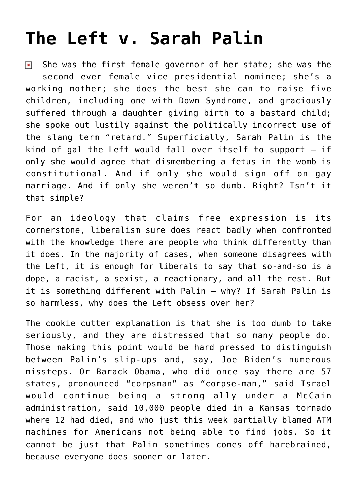## **[The Left v. Sarah Palin](https://bernardgoldberg.com/left-v-sarah-palin/)**

She was the first female governor of her state; she was the  $\pmb{\times}$ second ever female vice presidential nominee; she's a working mother; she does the best she can to raise five children, including one with Down Syndrome, and graciously suffered through a daughter giving birth to a bastard child; she spoke out lustily against the politically incorrect use of the slang term "retard." Superficially, Sarah Palin is the kind of gal the Left would fall over itself to support  $-$  if only she would agree that dismembering a fetus in the womb is constitutional. And if only she would sign off on gay marriage. And if only she weren't so dumb. Right? Isn't it that simple?

For an ideology that claims free expression is its cornerstone, liberalism sure does react badly when confronted with the knowledge there are people who think differently than it does. In the majority of cases, when someone disagrees with the Left, it is enough for liberals to say that so-and-so is a dope, a racist, a sexist, a reactionary, and all the rest. But it is something different with Palin – why? If Sarah Palin is so harmless, why does the Left obsess over her?

The cookie cutter explanation is that she is too dumb to take seriously, and they are distressed that so many people do. Those making this point would be hard pressed to distinguish between Palin's slip-ups and, say, Joe Biden's numerous missteps. Or Barack Obama, who did once say there are 57 states, pronounced "corpsman" as "corpse-man," said Israel would continue being a strong ally under a McCain administration, said 10,000 people died in a Kansas tornado where 12 had died, and who just this week partially blamed ATM machines for Americans not being able to find jobs. So it cannot be just that Palin sometimes comes off harebrained, because everyone does sooner or later.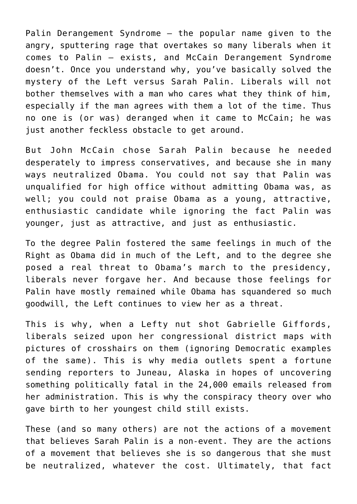Palin Derangement Syndrome – the popular name given to the angry, sputtering rage that overtakes so many liberals when it comes to Palin – exists, and McCain Derangement Syndrome doesn't. Once you understand why, you've basically solved the mystery of the Left versus Sarah Palin. Liberals will not bother themselves with a man who cares what they think of him, especially if the man agrees with them a lot of the time. Thus no one is (or was) deranged when it came to McCain; he was just another feckless obstacle to get around.

But John McCain chose Sarah Palin because he needed desperately to impress conservatives, and because she in many ways neutralized Obama. You could not say that Palin was unqualified for high office without admitting Obama was, as well; you could not praise Obama as a young, attractive, enthusiastic candidate while ignoring the fact Palin was younger, just as attractive, and just as enthusiastic.

To the degree Palin fostered the same feelings in much of the Right as Obama did in much of the Left, and to the degree she posed a real threat to Obama's march to the presidency, liberals never forgave her. And because those feelings for Palin have mostly remained while Obama has squandered so much goodwill, the Left continues to view her as a threat.

This is why, when a Lefty nut shot Gabrielle Giffords, liberals seized upon her congressional district maps with pictures of crosshairs on them (ignoring Democratic examples of the same). This is why media outlets spent a fortune sending reporters to Juneau, Alaska in hopes of uncovering something politically fatal in the 24,000 emails released from her administration. This is why the conspiracy theory over who gave birth to her youngest child still exists.

These (and so many others) are not the actions of a movement that believes Sarah Palin is a non-event. They are the actions of a movement that believes she is so dangerous that she must be neutralized, whatever the cost. Ultimately, that fact